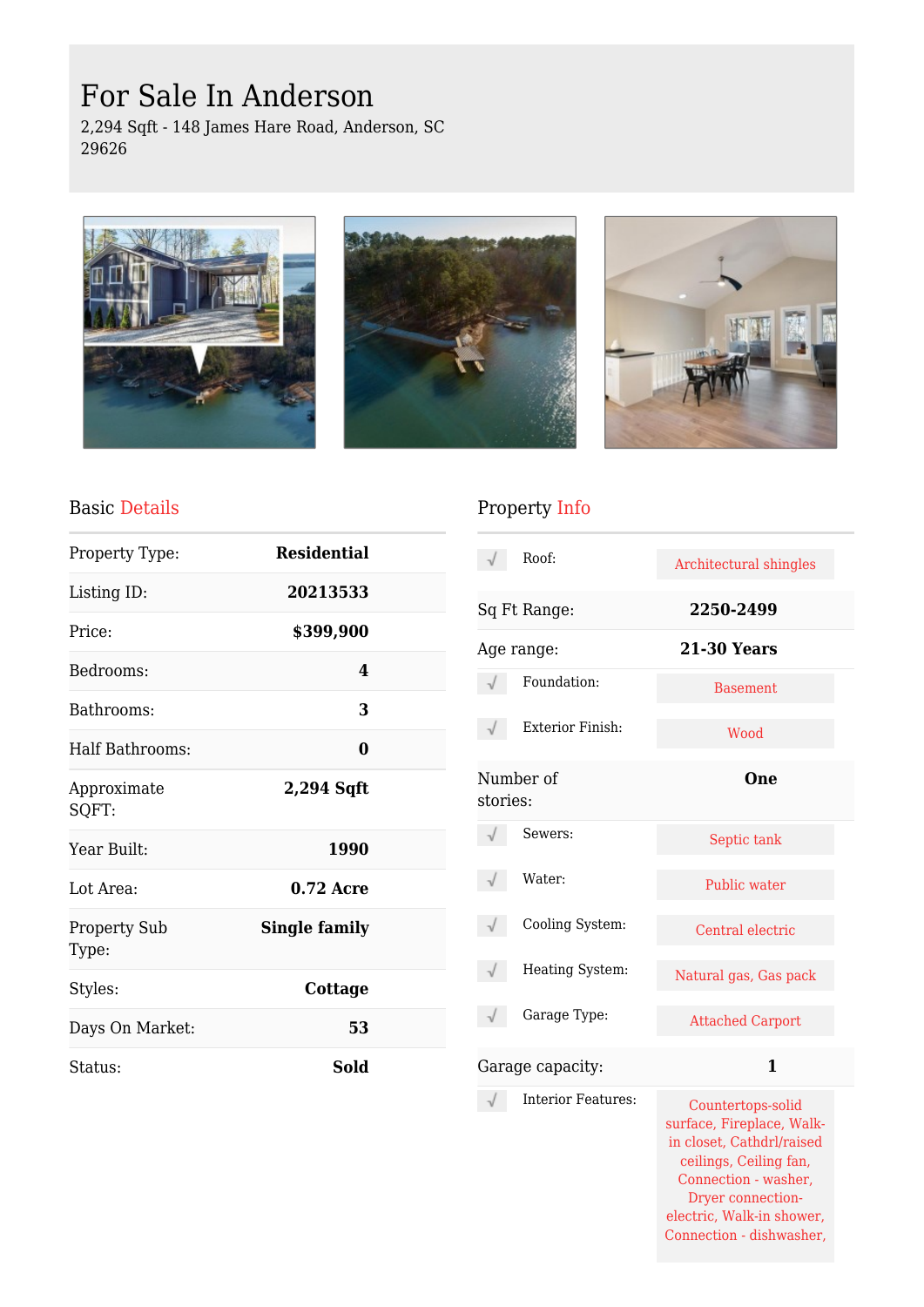# For Sale In Anderson

2,294 Sqft - 148 James Hare Road, Anderson, SC 29626







#### Basic Details

| Property Type:               | <b>Residential</b>   |  |
|------------------------------|----------------------|--|
| Listing ID:                  | 20213533             |  |
| Price:                       | \$399,900            |  |
| Bedrooms:                    | 4                    |  |
| Bathrooms:                   | 3                    |  |
| Half Bathrooms:              | 0                    |  |
| Approximate<br>SQFT:         | 2,294 Sqft           |  |
| Year Built:                  | 1990                 |  |
| Lot Area:                    | $0.72$ Acre          |  |
| <b>Property Sub</b><br>Type: | <b>Single family</b> |  |
| Styles:                      | Cottage              |  |
| Days On Market:              | 53                   |  |
| Status:                      | Sold                 |  |

# Property Info

|                       | Roof:                     | Architectural shingles                                                                                                        |  |
|-----------------------|---------------------------|-------------------------------------------------------------------------------------------------------------------------------|--|
| Sq Ft Range:          |                           | 2250-2499                                                                                                                     |  |
| Age range:            |                           | <b>21-30 Years</b>                                                                                                            |  |
|                       | Foundation:               | <b>Basement</b>                                                                                                               |  |
|                       | <b>Exterior Finish:</b>   | Wood                                                                                                                          |  |
| Number of<br>stories: |                           | One                                                                                                                           |  |
|                       | Sewers:                   | Septic tank                                                                                                                   |  |
|                       | Water:                    | Public water                                                                                                                  |  |
|                       | Cooling System:           | Central electric                                                                                                              |  |
|                       | Heating System:           | Natural gas, Gas pack                                                                                                         |  |
|                       | Garage Type:              | <b>Attached Carport</b>                                                                                                       |  |
|                       | Garage capacity:          | $\mathbf{1}$                                                                                                                  |  |
|                       | <b>Interior Features:</b> | Countertops-solid<br>surface, Fireplace, Walk-<br>in closet, Cathdrl/raised<br>ceilings, Ceiling fan,<br>Connection - washer, |  |

Dryer connectionelectric, Walk-in shower, Connection - dishwasher,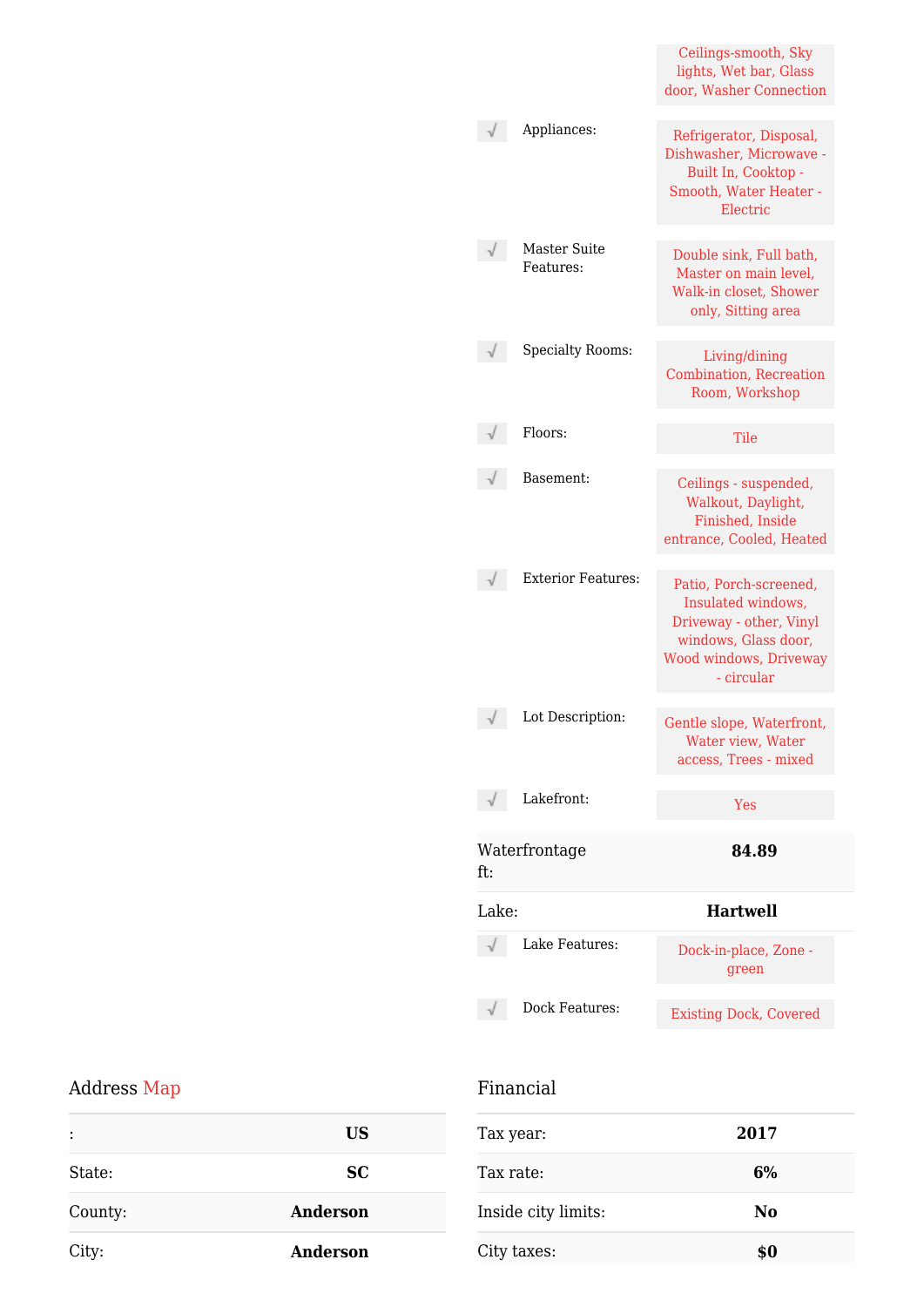|       |                                  | Ceilings-smooth, Sky<br>lights, Wet bar, Glass<br>door, Washer Connection                                                                      |
|-------|----------------------------------|------------------------------------------------------------------------------------------------------------------------------------------------|
|       | Appliances:                      | Refrigerator, Disposal,<br>Dishwasher, Microwave -<br>Built In, Cooktop -<br>Smooth, Water Heater -<br>Electric                                |
|       | <b>Master Suite</b><br>Features: | Double sink, Full bath,<br>Master on main level,<br>Walk-in closet, Shower<br>only, Sitting area                                               |
|       | <b>Specialty Rooms:</b>          | Living/dining<br>Combination, Recreation<br>Room, Workshop                                                                                     |
|       | Floors:                          | Tile                                                                                                                                           |
|       | Basement:                        | Ceilings - suspended,<br>Walkout, Daylight,<br>Finished, Inside<br>entrance, Cooled, Heated                                                    |
|       | <b>Exterior Features:</b>        | Patio, Porch-screened,<br>Insulated windows,<br>Driveway - other, Vinyl<br>windows, Glass door,<br><b>Wood windows, Driveway</b><br>- circular |
|       | Lot Description:                 | Gentle slope, Waterfront,<br>Water view. Water<br>access, Trees - mixed                                                                        |
|       | Lakefront:                       | Yes                                                                                                                                            |
| ft:   | Waterfrontage                    | 84.89                                                                                                                                          |
| Lake: |                                  | <b>Hartwell</b>                                                                                                                                |
|       | Lake Features:                   | Dock-in-place, Zone -<br>green                                                                                                                 |
|       | Dock Features:                   | <b>Existing Dock, Covered</b>                                                                                                                  |

## Address Map

| $\ddot{\cdot}$ | <b>US</b>       |
|----------------|-----------------|
| State:         | <b>SC</b>       |
| County:        | <b>Anderson</b> |
| City:          | Anderson        |

## Financial

| Tax year:           | 2017 |
|---------------------|------|
| Tax rate:           | 6%   |
| Inside city limits: | No   |
| City taxes:         | \$0  |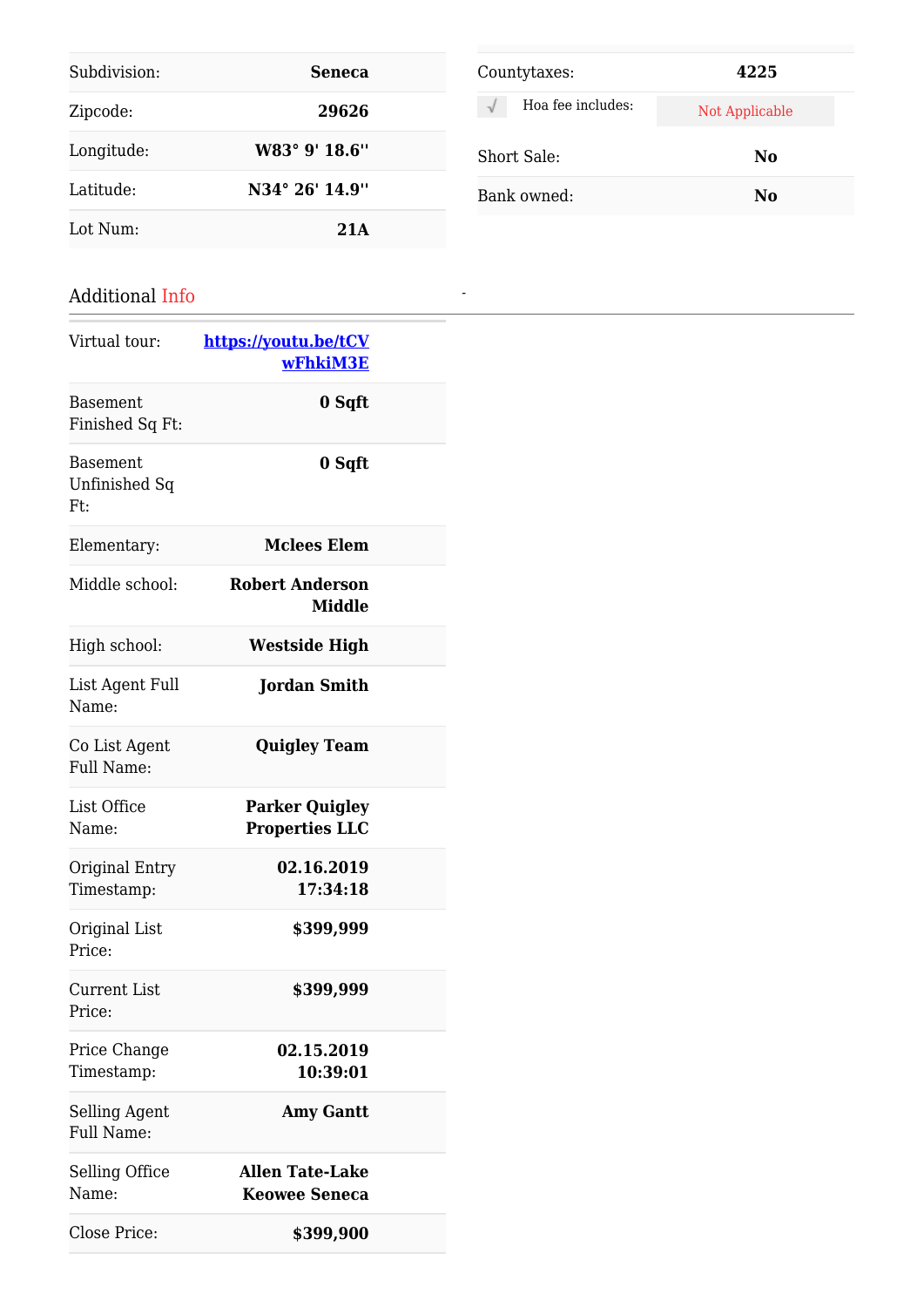| Subdivision: | <b>Seneca</b>  |
|--------------|----------------|
| Zipcode:     | 29626          |
| Longitude:   | W83° 9' 18.6"  |
| Latitude:    | N34° 26' 14.9" |
| Lot Num:     | 21A            |

| Additional Info |
|-----------------|
|-----------------|

| Virtual tour:                      | https://youtu.be/tCV<br>wFhkiM3E               |  |
|------------------------------------|------------------------------------------------|--|
| <b>Basement</b><br>Finished Sq Ft: | 0 Sqft                                         |  |
| Basement<br>Unfinished Sq<br>Ft:   | 0 Sqft                                         |  |
| Elementary:                        | <b>Mclees Elem</b>                             |  |
| Middle school:                     | <b>Robert Anderson</b><br><b>Middle</b>        |  |
| High school:                       | <b>Westside High</b>                           |  |
| List Agent Full<br>Name:           | <b>Jordan Smith</b>                            |  |
| Co List Agent<br>Full Name:        | <b>Quigley Team</b>                            |  |
| List Office<br>Name:               | <b>Parker Quigley</b><br><b>Properties LLC</b> |  |
| Original Entry<br>Timestamp:       | 02.16.2019<br>17:34:18                         |  |
| Original List<br>Price:            | \$399,999                                      |  |
| Current List<br>Price:             | \$399,999                                      |  |
| Price Change<br>Timestamp:         | 02.15.2019<br>10:39:01                         |  |
| Selling Agent<br><b>Full Name:</b> | <b>Amy Gantt</b>                               |  |
| Selling Office<br>Name:            | <b>Allen Tate-Lake</b><br><b>Keowee Seneca</b> |  |
| Close Price:                       | \$399,900                                      |  |

| Countytaxes:                   | 4225           |
|--------------------------------|----------------|
| Hoa fee includes:<br>$\sqrt{}$ | Not Applicable |
| Short Sale:                    | No             |
| Bank owned:                    | No             |

*-*